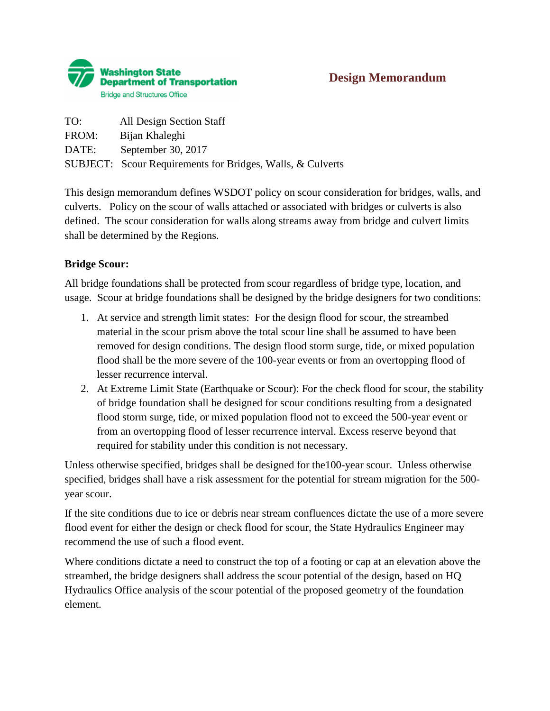

## **Design Memorandum**

| TO:   | All Design Section Staff                                   |
|-------|------------------------------------------------------------|
| FROM: | Bijan Khaleghi                                             |
| DATE: | September 30, 2017                                         |
|       | SUBJECT: Scour Requirements for Bridges, Walls, & Culverts |

This design memorandum defines WSDOT policy on scour consideration for bridges, walls, and culverts. Policy on the scour of walls attached or associated with bridges or culverts is also defined. The scour consideration for walls along streams away from bridge and culvert limits shall be determined by the Regions.

## **Bridge Scour:**

All bridge foundations shall be protected from scour regardless of bridge type, location, and usage. Scour at bridge foundations shall be designed by the bridge designers for two conditions:

- 1. At service and strength limit states: For the design flood for scour, the streambed material in the scour prism above the total scour line shall be assumed to have been removed for design conditions. The design flood storm surge, tide, or mixed population flood shall be the more severe of the 100-year events or from an overtopping flood of lesser recurrence interval.
- 2. At Extreme Limit State (Earthquake or Scour): For the check flood for scour, the stability of bridge foundation shall be designed for scour conditions resulting from a designated flood storm surge, tide, or mixed population flood not to exceed the 500-year event or from an overtopping flood of lesser recurrence interval. Excess reserve beyond that required for stability under this condition is not necessary.

Unless otherwise specified, bridges shall be designed for the100-year scour. Unless otherwise specified, bridges shall have a risk assessment for the potential for stream migration for the 500 year scour.

If the site conditions due to ice or debris near stream confluences dictate the use of a more severe flood event for either the design or check flood for scour, the State Hydraulics Engineer may recommend the use of such a flood event.

Where conditions dictate a need to construct the top of a footing or cap at an elevation above the streambed, the bridge designers shall address the scour potential of the design, based on HQ Hydraulics Office analysis of the scour potential of the proposed geometry of the foundation element.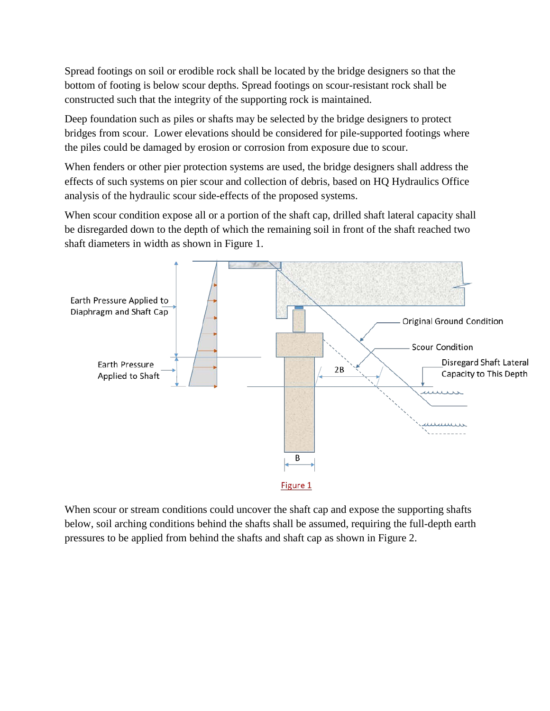Spread footings on soil or erodible rock shall be located by the bridge designers so that the bottom of footing is below scour depths. Spread footings on scour-resistant rock shall be constructed such that the integrity of the supporting rock is maintained.

Deep foundation such as piles or shafts may be selected by the bridge designers to protect bridges from scour. Lower elevations should be considered for pile-supported footings where the piles could be damaged by erosion or corrosion from exposure due to scour.

When fenders or other pier protection systems are used, the bridge designers shall address the effects of such systems on pier scour and collection of debris, based on HQ Hydraulics Office analysis of the hydraulic scour side-effects of the proposed systems.

When scour condition expose all or a portion of the shaft cap, drilled shaft lateral capacity shall be disregarded down to the depth of which the remaining soil in front of the shaft reached two shaft diameters in width as shown in Figure 1.



When scour or stream conditions could uncover the shaft cap and expose the supporting shafts below, soil arching conditions behind the shafts shall be assumed, requiring the full-depth earth pressures to be applied from behind the shafts and shaft cap as shown in Figure 2.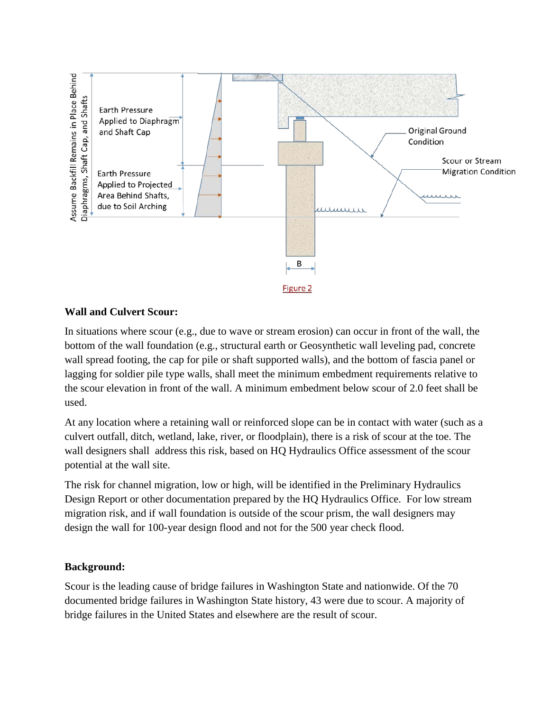

## **Wall and Culvert Scour:**

In situations where scour (e.g., due to wave or stream erosion) can occur in front of the wall, the bottom of the wall foundation (e.g., structural earth or Geosynthetic wall leveling pad, concrete wall spread footing, the cap for pile or shaft supported walls), and the bottom of fascia panel or lagging for soldier pile type walls, shall meet the minimum embedment requirements relative to the scour elevation in front of the wall. A minimum embedment below scour of 2.0 feet shall be used.

At any location where a retaining wall or reinforced slope can be in contact with water (such as a culvert outfall, ditch, wetland, lake, river, or floodplain), there is a risk of scour at the toe. The wall designers shall address this risk, based on HQ Hydraulics Office assessment of the scour potential at the wall site.

The risk for channel migration, low or high, will be identified in the Preliminary Hydraulics Design Report or other documentation prepared by the HQ Hydraulics Office. For low stream migration risk, and if wall foundation is outside of the scour prism, the wall designers may design the wall for 100-year design flood and not for the 500 year check flood.

## **Background:**

Scour is the leading cause of bridge failures in Washington State and nationwide. Of the 70 documented bridge failures in Washington State history, 43 were due to scour. A majority of bridge failures in the United States and elsewhere are the result of scour.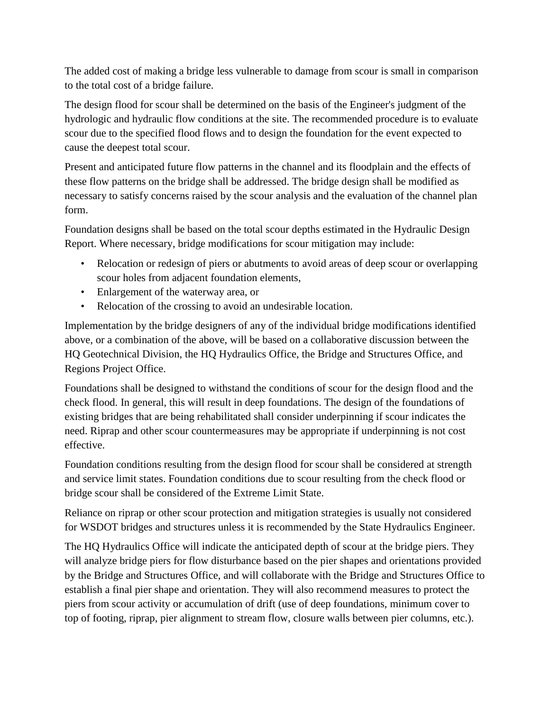The added cost of making a bridge less vulnerable to damage from scour is small in comparison to the total cost of a bridge failure.

The design flood for scour shall be determined on the basis of the Engineer's judgment of the hydrologic and hydraulic flow conditions at the site. The recommended procedure is to evaluate scour due to the specified flood flows and to design the foundation for the event expected to cause the deepest total scour.

Present and anticipated future flow patterns in the channel and its floodplain and the effects of these flow patterns on the bridge shall be addressed. The bridge design shall be modified as necessary to satisfy concerns raised by the scour analysis and the evaluation of the channel plan form.

Foundation designs shall be based on the total scour depths estimated in the Hydraulic Design Report. Where necessary, bridge modifications for scour mitigation may include:

- Relocation or redesign of piers or abutments to avoid areas of deep scour or overlapping scour holes from adjacent foundation elements,
- Enlargement of the waterway area, or
- Relocation of the crossing to avoid an undesirable location.

Implementation by the bridge designers of any of the individual bridge modifications identified above, or a combination of the above, will be based on a collaborative discussion between the HQ Geotechnical Division, the HQ Hydraulics Office, the Bridge and Structures Office, and Regions Project Office.

Foundations shall be designed to withstand the conditions of scour for the design flood and the check flood. In general, this will result in deep foundations. The design of the foundations of existing bridges that are being rehabilitated shall consider underpinning if scour indicates the need. Riprap and other scour countermeasures may be appropriate if underpinning is not cost effective.

Foundation conditions resulting from the design flood for scour shall be considered at strength and service limit states. Foundation conditions due to scour resulting from the check flood or bridge scour shall be considered of the Extreme Limit State.

Reliance on riprap or other scour protection and mitigation strategies is usually not considered for WSDOT bridges and structures unless it is recommended by the State Hydraulics Engineer.

The HQ Hydraulics Office will indicate the anticipated depth of scour at the bridge piers. They will analyze bridge piers for flow disturbance based on the pier shapes and orientations provided by the Bridge and Structures Office, and will collaborate with the Bridge and Structures Office to establish a final pier shape and orientation. They will also recommend measures to protect the piers from scour activity or accumulation of drift (use of deep foundations, minimum cover to top of footing, riprap, pier alignment to stream flow, closure walls between pier columns, etc.).